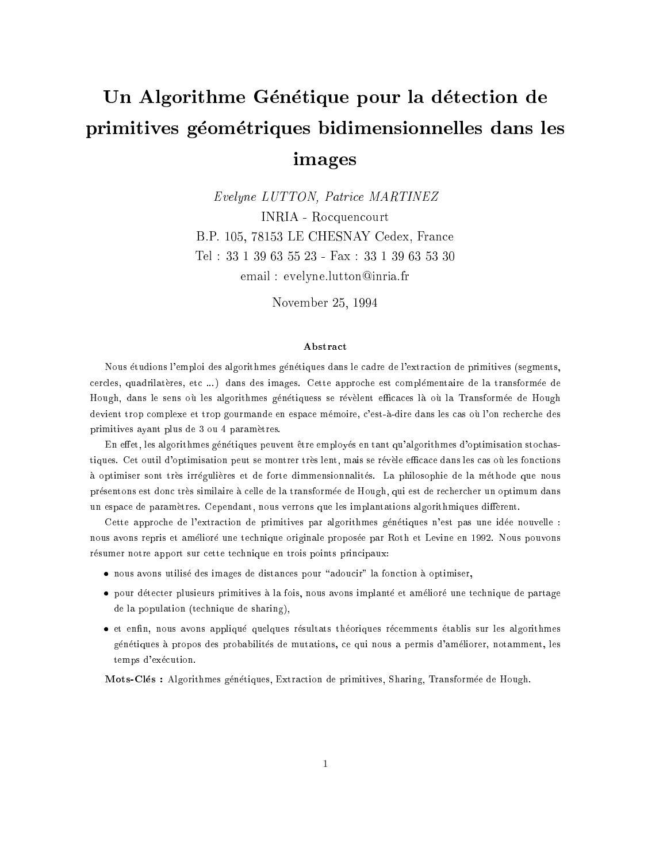# Un Algorithme Génétique pour la détection de primitives geometriques bidimensionnelles dans les images

Evelyne LUTTON, Patrice MARTINEZ INRIA - Rocquencourt B.P. 105, 78153 LE CHESNAY Cedex, France Tel : 33 1 39 63 55 23 - Fax : 33 1 39 63 53 30 email : evelyne.lutton@inria.fr

November 25, 1994

### Abstract

Nous etudions l'emploi des algorithmes genetiques dans le cadre de l'extraction de primitives (segments, cercles, quadrilatères, etc ...) dans des images. Cette approche est complémentaire de la transformée de Hough, dans le sens où les algorithmes génétiquess se révèlent efficaces là où la Transformée de Hough devient trop complexe et trop gourmande en espace mémoire, c'est-à-dire dans les cas où l'on recherche des primitives ayant plus de 3 ou 4 parametres.

En effet, les algorithmes génétiques peuvent être employés en tant qu'algorithmes d'optimisation stochastiques. Cet outil d'optimisation peut se montrer très lent, mais se révèle efficace dans les cas où les fonctions à optimiser sont très irrégulières et de forte dimmensionnalités. La philosophie de la méthode que nous presentons est donc tres similaire a celle de la transformee de Hough, qui est de rechercher un optimum dans un espace de paramètres. Cependant, nous verrons que les implantations algorithmiques diffèrent.

Cette approche de l'extraction de primitives par algorithmes génétiques n'est pas une idée nouvelle : nous avons repris et ameliore une technique originale proposee par Roth et Levine en 1992. Nous pouvons résumer notre apport sur cette technique en trois points principaux:

- $\bullet$  nous avons utilisé des images de distances pour "adoucir" la fonction à optimiser,
- pour detecter plusieurs primitives a la fois, nous avons implante et ameliore une technique de partage de la population (technique de sharing),
- et enfin, nous avons appliqué quelques résultats théoriques récemments établis sur les algorithmes genetiques a propos des probabilites de mutations, ce qui nous a permis d'ameliorer, notamment, les temps d'exécution.

Mots-Cles : Algorithmes genetiques, Extraction de primitives, Sharing, Transformee de Hough.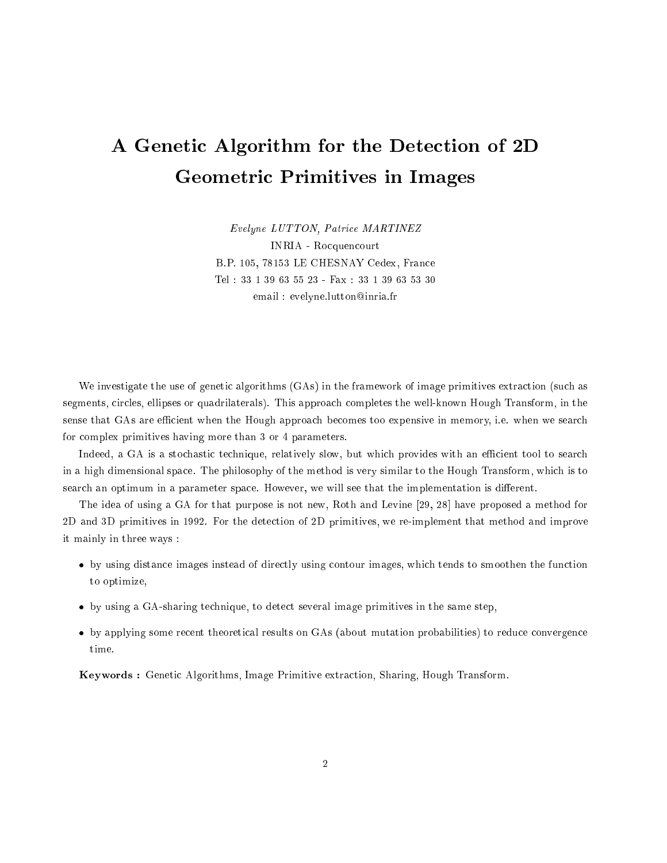# A Genetic Algorithm for the Detection of 2D Geometric Primitives in Images

Evelyne LUTTON, Patrice MARTINEZ INRIA - Rocquencourt B.P. 105, 78153 LE CHESNAY Cedex, France Tel : 33 1 39 63 55 23 - Fax : 33 1 39 63 53 30 email : evelyne.lutton@inria.fr

We investigate the use of genetic algorithms (GAs) in the framework of image primitives extraction (such as segments, circles, ellipses or quadrilaterals). This approach completes the well-known Hough Transform, in the sense that GAs are efficient when the Hough approach becomes too expensive in memory, i.e. when we search for complex primitives having more than 3 or 4 parameters.

Indeed, a GA is a stochastic technique, relatively slow, but which provides with an efficient tool to search in a high dimensional space. The philosophy of the method is very similar to the Hough Transform, which is to search an optimum in a parameter space. However, we will see that the implementation is different.

The idea of using a GA for that purpose is not new, Roth and Levine [29, 28] have proposed a method for 2D and 3D primitives in 1992. For the detection of 2D primitives, we re-implement that method and improve it mainly in three ways :

- by using distance images instead of directly using contour images, which tends to smoothen the function to optimize,
- by using a GA-sharing technique, to detect several image primitives in the same step,
- by applying some recent theoretical results on GAs (about mutation probabilities) to reduce convergence

Keywords : Genetic Algorithms, Image Primitive extraction, Sharing, Hough Transform.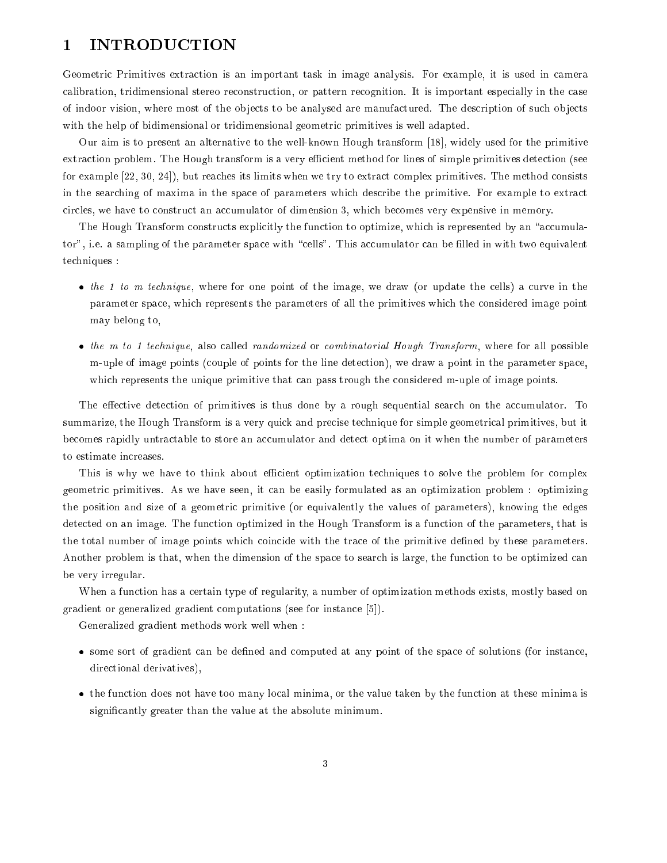# 1 INTRODUCTION

Geometric Primitives extraction is an important task in image analysis. For example, it is used in camera calibration, tridimensional stereo reconstruction, or pattern recognition. It is important especially in the case of indoor vision, where most of the ob jects to be analysed are manufactured. The description of such ob jects with the help of bidimensional or tridimensional geometric primitives is well adapted.

Our aim is to present an alternative to the well-known Hough transform [18], widely used for the primitive extraction problem. The Hough transform is a very efficient method for lines of simple primitives detection (see for example [22, 30, 24]), but reaches its limits when we try to extract complex primitives. The method consists in the searching of maxima in the space of parameters which describe the primitive. For example to extract circles, we have to construct an accumulator of dimension 3, which becomes very expensive in memory.

The Hough Transform constructs explicitly the function to optimize, which is represented by an "accumulator", i.e. a sampling of the parameter space with "cells". This accumulator can be filled in with two equivalent techniques :

- $\bullet$  the 1 to m technique, where for one point of the image, we draw (or update the cells) a curve in the parameter space, which represents the parameters of all the primitives which the considered image point may belong to,
- the m to 1 technique, also called randomized or combinatorial Hough Transform, where for all possible m-uple of image points (couple of points for the line detection), we draw a point in the parameter space, which represents the unique primitive that can pass trough the considered m-uple of image points.

The effective detection of primitives is thus done by a rough sequential search on the accumulator. To summarize, the Hough Transform is a very quick and precise technique for simple geometrical primitives, but it becomes rapidly untractable to store an accumulator and detect optima on it when the number of parameters to estimate increases.

This is why we have to think about efficient optimization techniques to solve the problem for complex geometric primitives. As we have seen, it can be easily formulated as an optimization problem : optimizing the position and size of a geometric primitive (or equivalently the values of parameters), knowing the edges detected on an image. The function optimized in the Hough Transform is a function of the parameters, that is the total number of image points which coincide with the trace of the primitive dened by these parameters. Another problem is that, when the dimension of the space to search is large, the function to be optimized can be very irregular.

When a function has a certain type of regularity, a number of optimization methods exists, mostly based on gradient or generalized gradient computations (see for instance [5]).

Generalized gradient methods work well when :

- some sort of gradient can be dened and computed at any point of the space of solutions (for instance, directional derivatives),
- the function does not have too many local minima, or the value taken by the function at these minima is signicantly greater than the value at the absolute minimum.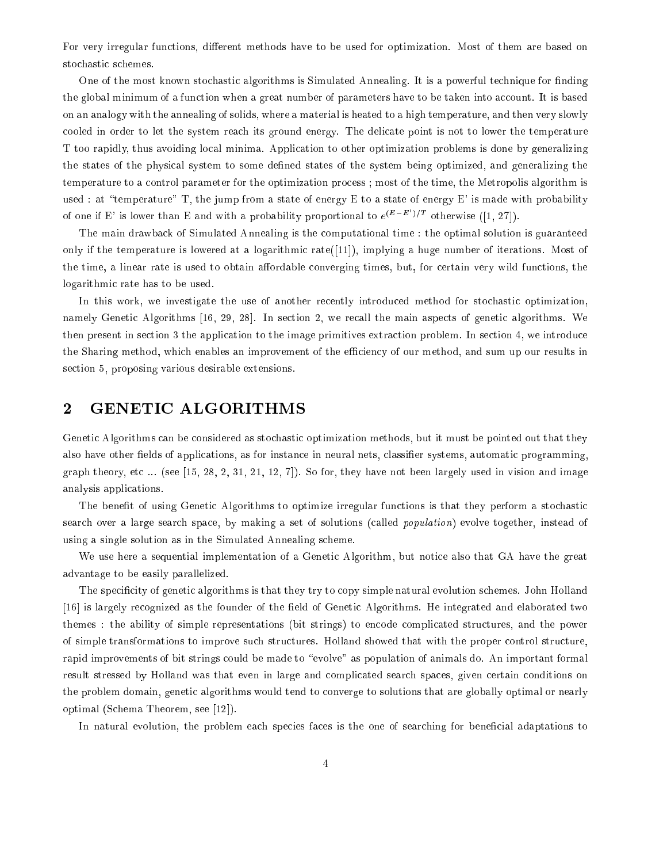For very irregular functions, different methods have to be used for optimization. Most of them are based on stochastic schemes.

One of the most known stochastic algorithms is Simulated Annealing. It is a powerful technique for finding the global minimum of a function when a great number of parameters have to be taken into account. It is based on an analogy with the annealing of solids, where a material is heated to a high temperature, and then very slowly cooled in order to let the system reach its ground energy. The delicate point is not to lower the temperature T too rapidly, thus avoiding local minima. Application to other optimization problems is done by generalizing the states of the physical system to some dened states of the system being optimized, and generalizing the temperature to a control parameter for the optimization process ; most of the time, the Metropolis algorithm is used : at "temperature" T, the jump from a state of energy E to a state of energy E' is made with probability of one if E' is lower than E and with a probability proportional to  $e^{(E-E')/T}$  otherwise ([1, 27]).

The main drawback of Simulated Annealing is the computational time : the optimal solution is guaranteed only if the temperature is lowered at a logarithmic rate([11]), implying a huge number of iterations. Most of the time, a linear rate is used to obtain affordable converging times, but, for certain very wild functions, the logarithmic rate has to be used.

In this work, we investigate the use of another recently introduced method for stochastic optimization, namely Genetic Algorithms [16, 29, 28]. In section 2, we recall the main aspects of genetic algorithms. We then present in section 3 the application to the image primitives extraction problem. In section 4, we introduce the Sharing method, which enables an improvement of the efficiency of our method, and sum up our results in section 5, proposing various desirable extensions.

## 2 GENETIC ALGORITHMS

Genetic Algorithms can be considered as stochastic optimization methods, but it must be pointed out that they also have other fields of applications, as for instance in neural nets, classifier systems, automatic programming, graph theory, etc ... (see [15, 28, 2, 31, 21, 12, 7]). So for, they have not been largely used in vision and image analysis applications.

The benefit of using Genetic Algorithms to optimize irregular functions is that they perform a stochastic search over a large search space, by making a set of solutions (called population) evolve together, instead of using a single solution as in the Simulated Annealing scheme.

We use here a sequential implementation of a Genetic Algorithm, but notice also that GA have the great advantage to be easily parallelized.

The specificity of genetic algorithms is that they try to copy simple natural evolution schemes. John Holland [16] is largely recognized as the founder of the field of Genetic Algorithms. He integrated and elaborated two themes : the ability of simple representations (bit strings) to encode complicated structures, and the power of simple transformations to improve such structures. Holland showed that with the proper control structure, rapid improvements of bit strings could be made to "evolve" as population of animals do. An important formal result stressed by Holland was that even in large and complicated search spaces, given certain conditions on the problem domain, genetic algorithms would tend to converge to solutions that are globally optimal or nearly optimal (Schema Theorem, see [12]).

In natural evolution, the problem each species faces is the one of searching for beneficial adaptations to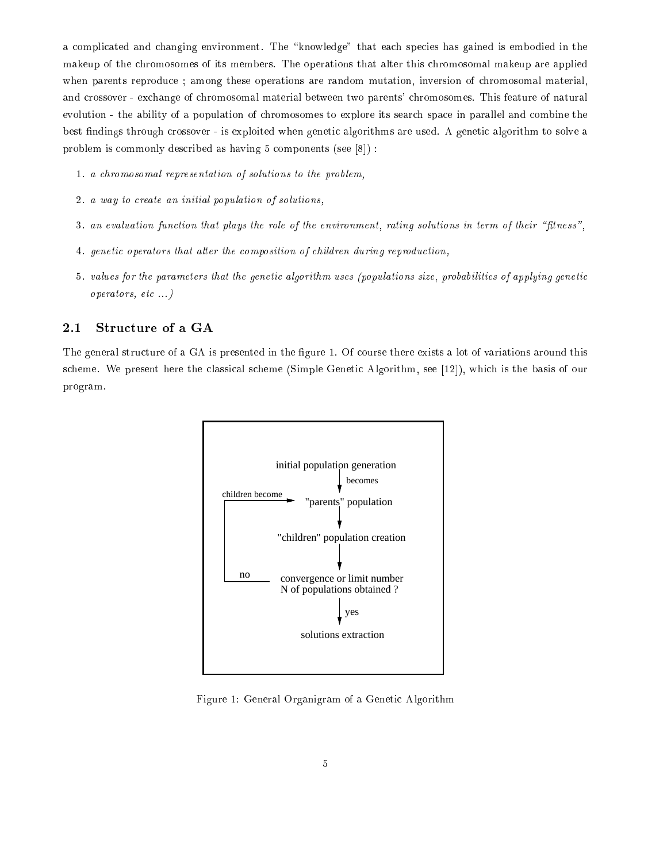a complicated and changing environment. The "knowledge" that each species has gained is embodied in the makeup of the chromosomes of its members. The operations that alter this chromosomal makeup are applied when parents reproduce ; among these operations are random mutation, inversion of chromosomal material, and crossover - exchange of chromosomal material between two parents' chromosomes. This feature of natural evolution - the ability of a population of chromosomes to explore its search space in parallel and combine the best ndings through crossover - is exploited when genetic algorithms are used. A genetic algorithm to solve a problem is commonly described as having 5 components (see [8]) :

- 1. a chromosomal representation of solutions to the problem,
- 2. a way to create an initial population of solutions,
- 3. an evaluation function that plays the role of the environment, rating solutions in term of their "fitness",
- 4. genetic operators that alter the composition of children during reproduction,
- 5. values for the parameters that the genetic algorithm uses (populations size, probabilities of applying genetic operators, etc ...)

#### $2.1$ Structure of a GA

The general structure of a GA is presented in the figure 1. Of course there exists a lot of variations around this scheme. We present here the classical scheme (Simple Genetic Algorithm, see [12]), which is the basis of our program.



Figure 1: General Organigram of a Genetic Algorithm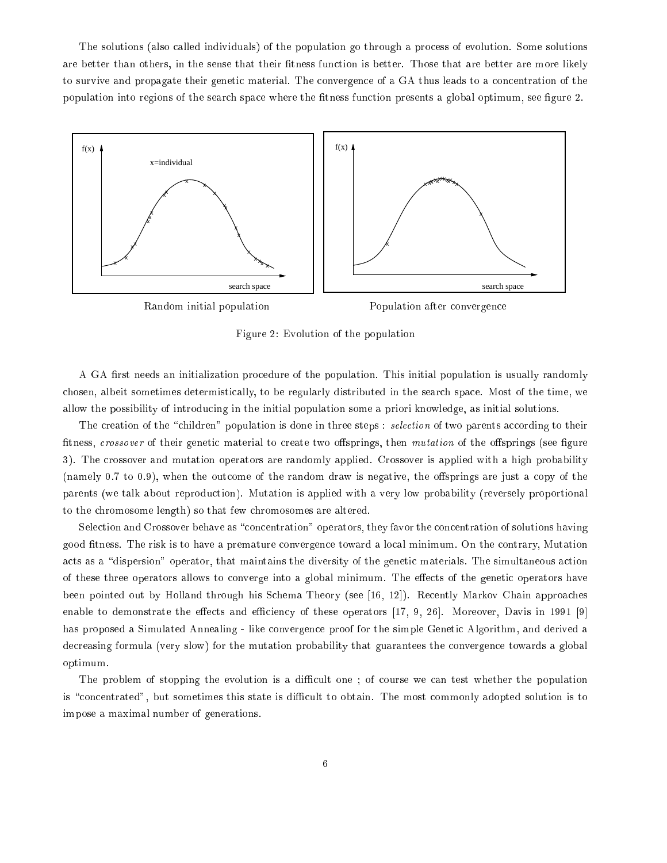The solutions (also called individuals) of the population go through a process of evolution. Some solutions are better than others, in the sense that their fitness function is better. Those that are better are more likely to survive and propagate their genetic material. The convergence of a GA thus leads to a concentration of the population into regions of the search space where the fitness function presents a global optimum, see figure 2.



Figure 2: Evolution of the population

A GA first needs an initialization procedure of the population. This initial population is usually randomly chosen, albeit sometimes determistically, to be regularly distributed in the search space. Most of the time, we allow the possibility of introducing in the initial population some a priori knowledge, as initial solutions.

The creation of the "children" population is done in three steps : selection of two parents according to their fitness, crossover of their genetic material to create two offsprings, then mutation of the offsprings (see figure 3). The crossover and mutation operators are randomly applied. Crossover is applied with a high probability (namely 0.7 to 0.9), when the outcome of the random draw is negative, the offsprings are just a copy of the parents (we talk about reproduction). Mutation is applied with a very low probability (reversely proportional to the chromosome length) so that few chromosomes are altered.

Selection and Crossover behave as "concentration" operators, they favor the concentration of solutions having good tness. The risk is to have a premature convergence toward a local minimum. On the contrary, Mutation acts as a "dispersion" operator, that maintains the diversity of the genetic materials. The simultaneous action of these three operators allows to converge into a global minimum. The effects of the genetic operators have been pointed out by Holland through his Schema Theory (see [16, 12]). Recently Markov Chain approaches enable to demonstrate the effects and efficiency of these operators  $[17, 9, 26]$ . Moreover, Davis in 1991 [9] has proposed a Simulated Annealing - like convergence proof for the simple Genetic Algorithm, and derived a decreasing formula (very slow) for the mutation probability that guarantees the convergence towards a global optimum.

The problem of stopping the evolution is a difficult one; of course we can test whether the population is "concentrated", but sometimes this state is difficult to obtain. The most commonly adopted solution is to impose a maximal number of generations.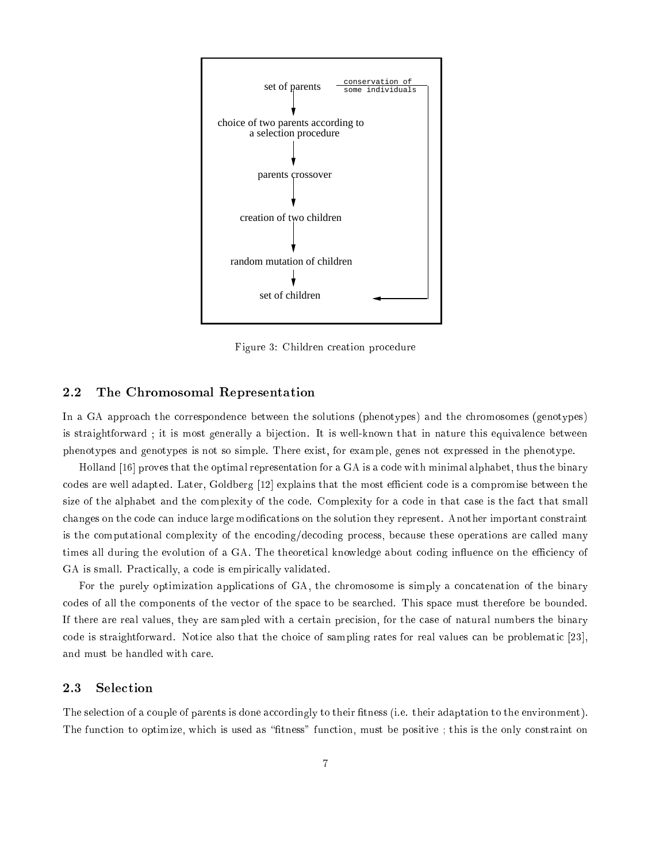

Figure 3: Children creation procedure

#### $2.2$ The Chromosomal Representation

In a GA approach the correspondence between the solutions (phenotypes) and the chromosomes (genotypes) is straightforward ; it is most generally a bijection. It is well-known that in nature this equivalence between phenotypes and genotypes is not so simple. There exist, for example, genes not expressed in the phenotype.

Holland [16] proves that the optimal representation for a GA is a code with minimal alphabet, thus the binary codes are well adapted. Later, Goldberg [12] explains that the most efficient code is a compromise between the size of the alphabet and the complexity of the code. Complexity for a code in that case is the fact that small changes on the code can induce large modications on the solution they represent. Another important constraint is the computational complexity of the encoding/decoding process, because these operations are called many times all during the evolution of a GA. The theoretical knowledge about coding influence on the efficiency of GA is small. Practically, a code is empirically validated.

For the purely optimization applications of GA, the chromosome is simply a concatenation of the binary codes of all the components of the vector of the space to be searched. This space must therefore be bounded. If there are real values, they are sampled with a certain precision, for the case of natural numbers the binary code is straightforward. Notice also that the choice of sampling rates for real values can be problematic [23], and must be handled with care.

#### 2.3 Selection

The selection of a couple of parents is done accordingly to their fitness (i.e. their adaptation to the environment). The function to optimize, which is used as "fitness" function, must be positive; this is the only constraint on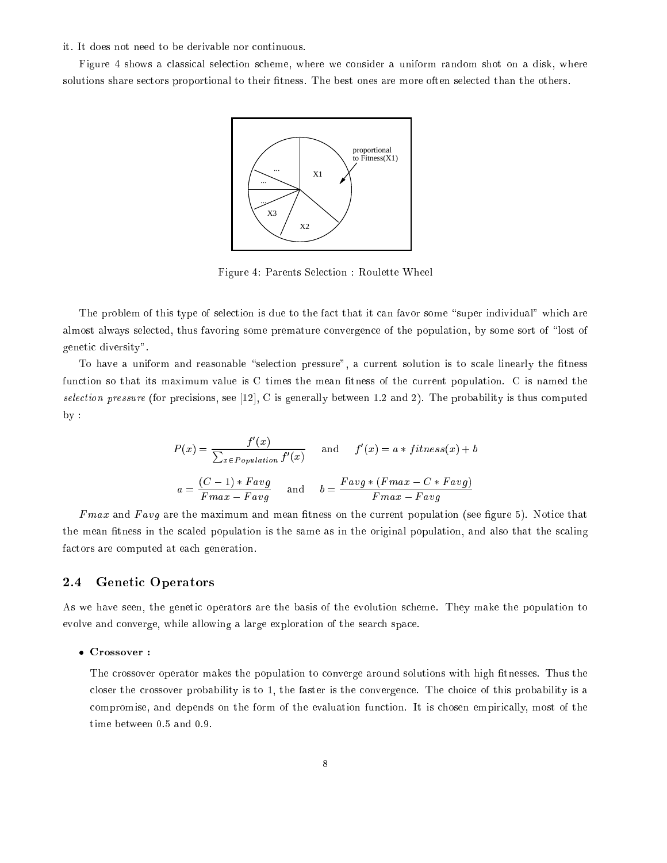### it. It does not need to be derivable nor continuous.

Figure 4 shows a classical selection scheme, where we consider a uniform random shot on a disk, where solutions share sectors proportional to their fitness. The best ones are more often selected than the others.



Figure 4: Parents Selection : Roulette Wheel

The problem of this type of selection is due to the fact that it can favor some "super individual" which are almost always selected, thus favoring some premature convergence of the population, by some sort of "lost of genetic diversity".

To have a uniform and reasonable "selection pressure", a current solution is to scale linearly the fitness function so that its maximum value is C times the mean fitness of the current population. C is named the selection pressure (for precisions, see [12], C is generally between 1.2 and 2). The probability is thus computed  $by$ 

$$
P(x) = \frac{f'(x)}{\sum_{x \in Population} f'(x)}
$$
 and  $f'(x) = a * fitness(x) + b$   

$$
a = \frac{(C-1) * Favg}{Fmax - Favg}
$$
 and 
$$
b = \frac{Favg * (Fmax - C * Favg)}{Fmax - Favg}
$$

Fmax and F avg are the maximum and mean tness on the current population (see gure 5). Notice that the mean fitness in the scaled population is the same as in the original population, and also that the scaling factors are computed at each generation.

### 2.4 Genetic Operators

As we have seen, the genetic operators are the basis of the evolution scheme. They make the population to evolve and converge, while allowing a large exploration of the search space.

### Crossover :

The crossover operator makes the population to converge around solutions with high fitnesses. Thus the closer the crossover probability is to 1, the faster is the convergence. The choice of this probability is a compromise, and depends on the form of the evaluation function. It is chosen empirically, most of the time between 0.5 and 0.9.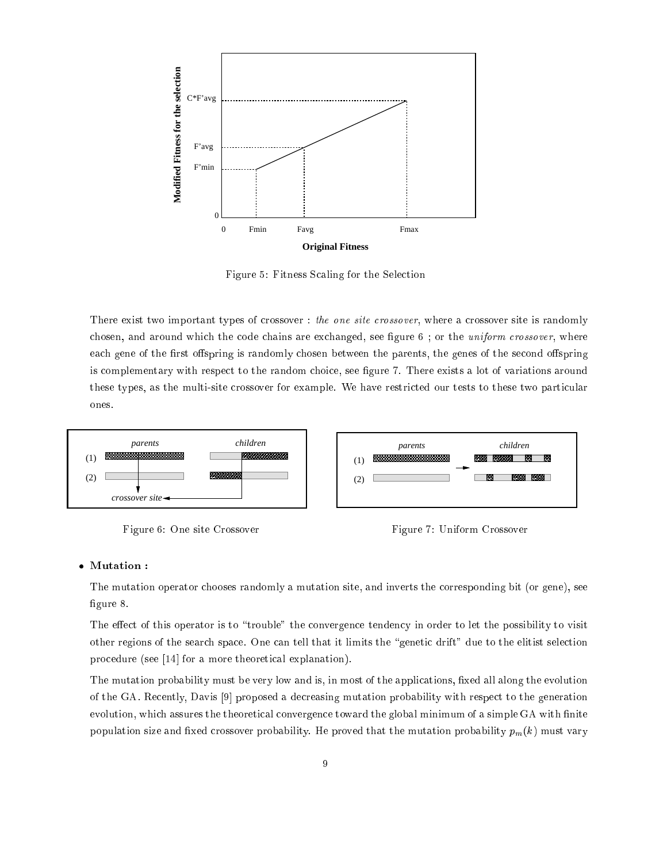

Figure 5: Fitness Scaling for the Selection

There exist two important types of crossover : the one site crossover, where a crossover site is randomly chosen, and around which the code chains are exchanged, see figure 6; or the *uniform crossover*, where each gene of the first offspring is randomly chosen between the parents, the genes of the second offspring is complementary with respect to the random choice, see figure 7. There exists a lot of variations around these types, as the multi-site crossover for example. We have restricted our tests to these two particular ones.



Figure 6: One site Crossover



### Mutation :

The mutation operator chooses randomly a mutation site, and inverts the corresponding bit (or gene), see figure 8.

The effect of this operator is to "trouble" the convergence tendency in order to let the possibility to visit other regions of the search space. One can tell that it limits the "genetic drift" due to the elitist selection procedure (see [14] for a more theoretical explanation).

The mutation probability must be very low and is, in most of the applications, fixed all along the evolution of the GA. Recently, Davis [9] proposed a decreasing mutation probability with respect to the generation evolution, which assures the theoretical convergence toward the global minimum of a simple GA with finite population size and fixed crossover probability. He proved that the mutation probability  $p_m(k)$  must vary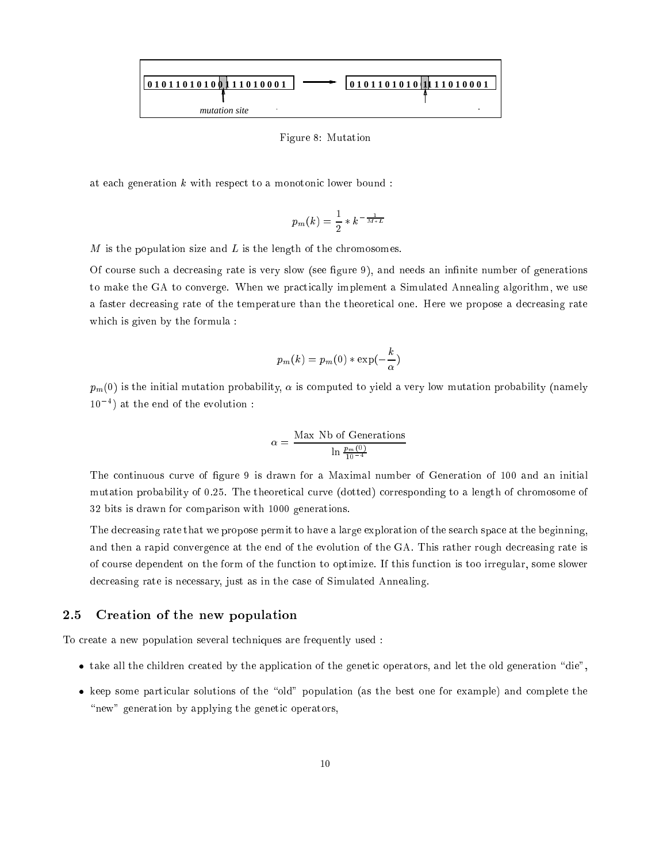

Figure 8: Mutation

at each generation  $k$  with respect to a monotonic lower bound :

$$
p_m(k)=\frac{1}{2}*k^{-\frac{1}{M*L}}
$$

M is the population size and <sup>L</sup> is the length of the chromosomes.

Of course such a decreasing rate is very slow (see gure 9), and needs an innite number of generations to make the GA to converge. When we practically implement a Simulated Annealing algorithm, we use a faster decreasing rate of the temperature than the theoretical one. Here we propose a decreasing rate which is given by the formula :

$$
p_m(k) = p_m(0) * \exp(-\frac{k}{\alpha})
$$

 $p_m(0)$  is the initial mutation probability,  $\alpha$  is computed to yield a very low mutation probability (namely 104 ) at the end of the evolution :

$$
\alpha = \frac{\text{Max Nb of Generations}}{\ln \frac{p_m(0)}{10^{-4}}}
$$

The continuous curve of figure 9 is drawn for a Maximal number of Generation of 100 and an initial mutation probability of 0.25. The theoretical curve (dotted) corresponding to a length of chromosome of 32 bits is drawn for comparison with 1000 generations.

The decreasing rate that we propose permit to have a large exploration of the search space at the beginning, and then a rapid convergence at the end of the evolution of the GA. This rather rough decreasing rate is of course dependent on the form of the function to optimize. If this function is too irregular, some slower decreasing rate is necessary, just as in the case of Simulated Annealing.

#### 2.5 Creation of the new population

To create a new population several techniques are frequently used :

- take all the children created by the application of the genetic operators, and let the old generation "die",
- keep some particular solutions of the "old" population (as the best one for example) and complete the "new" generation by applying the genetic operators,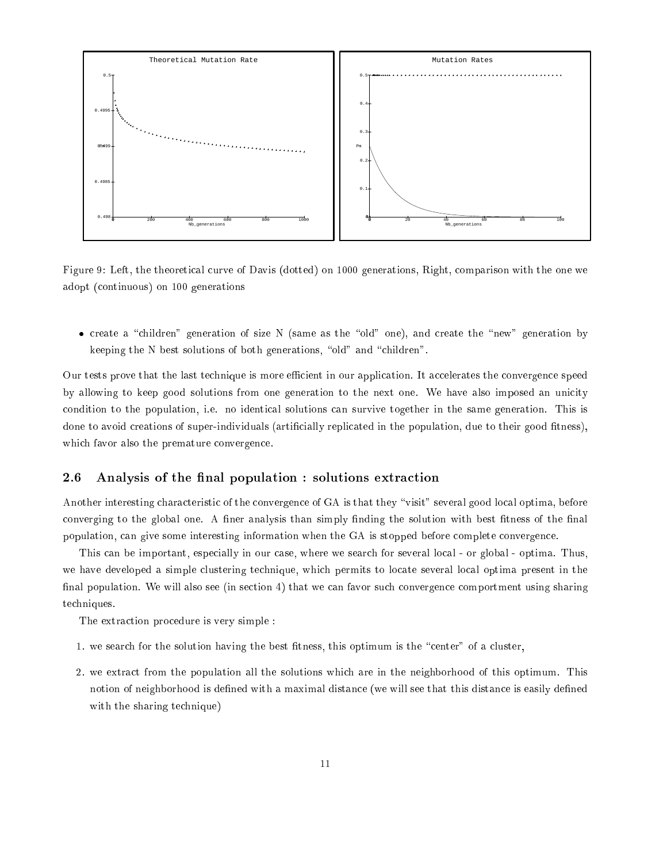

Figure 9: Left, the theoretical curve of Davis (dotted) on 1000 generations, Right, comparison with the one we adopt (continuous) on 100 generations

• create a "children" generation of size N (same as the "old" one), and create the "new" generation by keeping the N best solutions of both generations, "old" and "children".

Our tests prove that the last technique is more efficient in our application. It accelerates the convergence speed by allowing to keep good solutions from one generation to the next one. We have also imposed an unicity condition to the population, i.e. no identical solutions can survive together in the same generation. This is done to avoid creations of super-individuals (artificially replicated in the population, due to their good fitness), which favor also the premature convergence.

### 2.6 Analysis of the final population : solutions extraction

Another interesting characteristic of the convergence of GA is that they "visit" several good local optima, before converging to the global one. A finer analysis than simply finding the solution with best fitness of the final population, can give some interesting information when the GA is stopped before complete convergence.

This can be important, especially in our case, where we search for several local - or global - optima. Thus, we have developed a simple clustering technique, which permits to locate several local optima present in the final population. We will also see (in section  $4$ ) that we can favor such convergence comportment using sharing techniques.

The extraction procedure is very simple :

- 1. we search for the solution having the best fitness, this optimum is the "center" of a cluster,
- 2. we extract from the population all the solutions which are in the neighborhood of this optimum. This notion of neighborhood is defined with a maximal distance (we will see that this distance is easily defined with the sharing technique)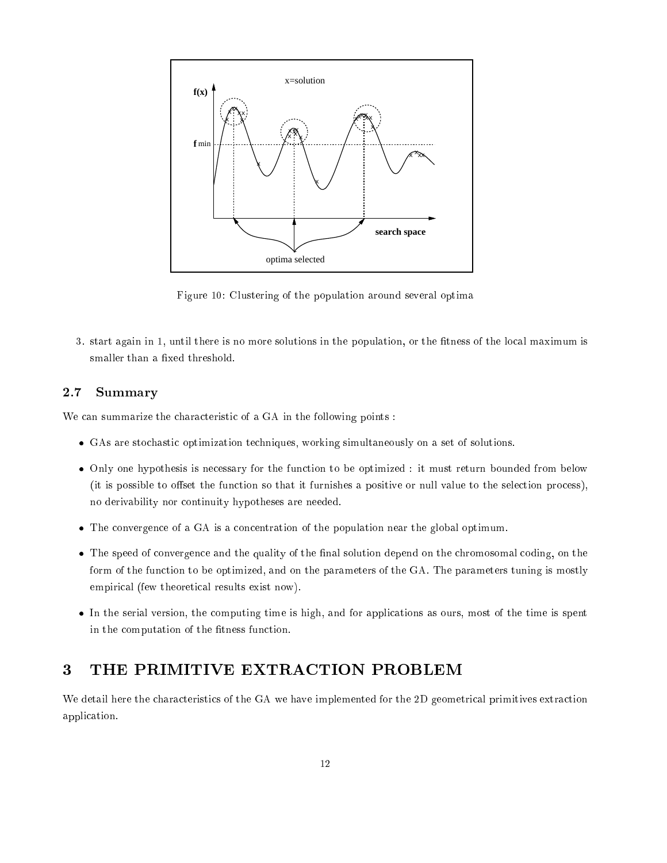

Figure 10: Clustering of the population around several optima

3. start again in 1, until there is no more solutions in the population, or the fitness of the local maximum is smaller than a fixed threshold.

#### 2.7 **Summary**

We can summarize the characteristic of a GA in the following points :

- GAs are stochastic optimization techniques, working simultaneously on a set of solutions.
- Only one hypothesis is necessary for the function to be optimized : it must return bounded from below (it is possible to offset the function so that it furnishes a positive or null value to the selection process), no derivability nor continuity hypotheses are needed.
- The convergence of a GA is a concentration of the population near the global optimum.
- The speed of convergence and the quality of the final solution depend on the chromosomal coding, on the form of the function to be optimized, and on the parameters of the GA. The parameters tuning is mostly empirical (few theoretical results exist now).
- In the serial version, the computing time is high, and for applications as ours, most of the time is spent in the computation of the fitness function.

# 3 THE PRIMITIVE EXTRACTION PROBLEM

We detail here the characteristics of the GA we have implemented for the 2D geometrical primitives extraction application.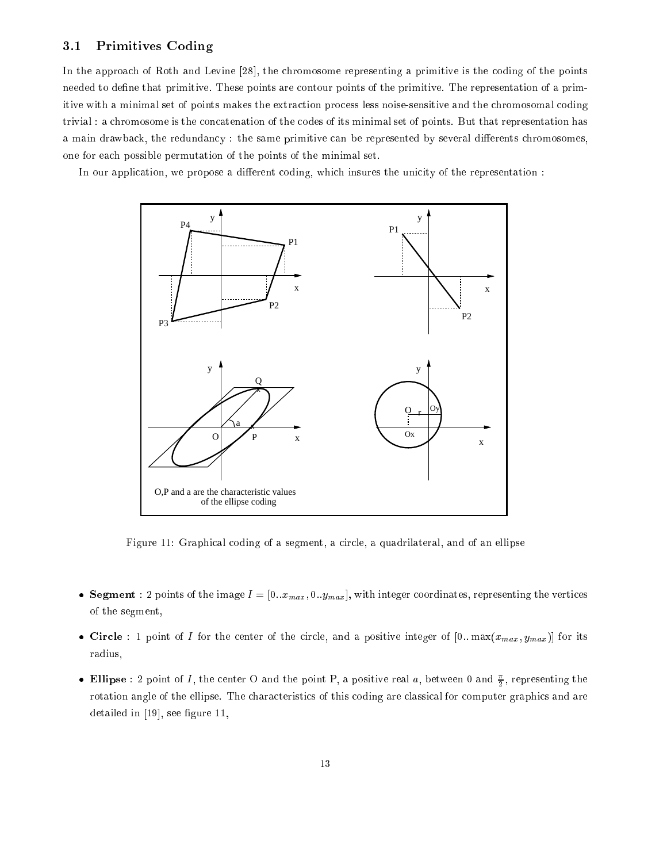### 3.1 Primitives Coding

In the approach of Roth and Levine [28], the chromosome representing a primitive is the coding of the points needed to define that primitive. These points are contour points of the primitive. The representation of a primitive with a minimal set of points makes the extraction process less noise-sensitive and the chromosomal coding trivial : a chromosome is the concatenation of the codes of its minimal set of points. But that representation has a main drawback, the redundancy : the same primitive can be represented by several differents chromosomes, one for each possible permutation of the points of the minimal set.

In our application, we propose a different coding, which insures the unicity of the representation :



Figure 11: Graphical coding of a segment, a circle, a quadrilateral, and of an ellipse

- Gegment : 2 points of the image  $I = [0..x_{max}, 0..y_{max}]$ , with integer coordinates, representing the vertices of the segment,
- Circle : 1 point of I for the center of the circle, and a positive integer of  $[0.. \max(x_{max}, y_{max})]$  for its radius,
- $\bullet$  Ellipse : 2 point of 1, the center  $\cup$  and the point P, a positive real  $a$ , between 0 and  $\frac{1}{b}$ , representing the rotation angle of the ellipse. The characteristics of this coding are classical for computer graphics and are detailed in  $[19]$ , see figure 11,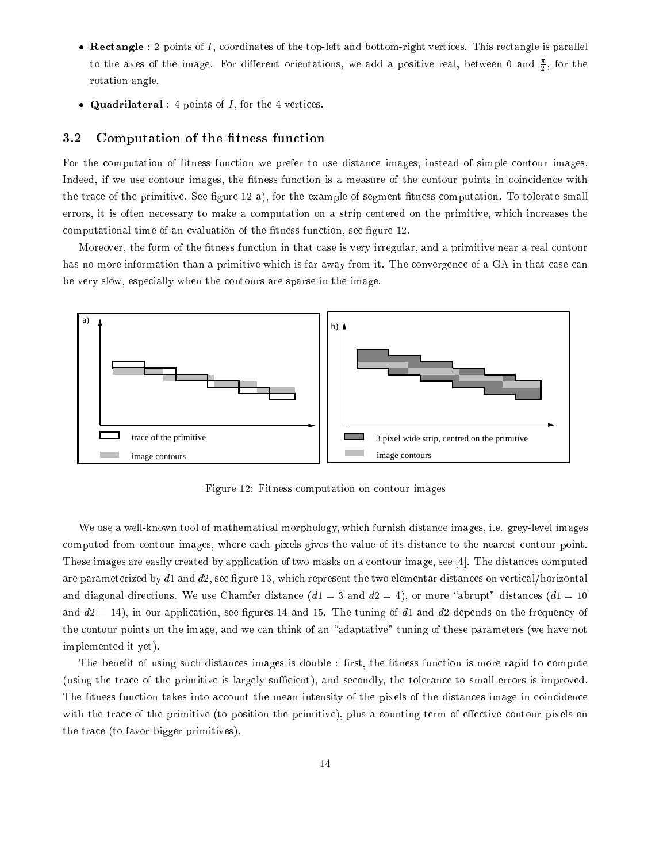- $\bullet$  Rectangle : 2 points of I, coordinates of the top-left and bottom-right vertices. This rectangle is parallel to the axes of the image. For different orientations, we add a positive real, between 0 and  $\frac{1}{9}$ , for the rotation angle.
- Quadrilateral : 4 points of  $I$ , for the 4 vertices.

### 3.2 Computation of the fitness function

For the computation of fitness function we prefer to use distance images, instead of simple contour images. Indeed, if we use contour images, the fitness function is a measure of the contour points in coincidence with the trace of the primitive. See figure 12 a), for the example of segment fitness computation. To tolerate small errors, it is often necessary to make a computation on a strip centered on the primitive, which increases the computational time of an evaluation of the fitness function, see figure 12.

Moreover, the form of the fitness function in that case is very irregular, and a primitive near a real contour has no more information than a primitive which is far away from it. The convergence of a GA in that case can be very slow, especially when the contours are sparse in the image.



Figure 12: Fitness computation on contour images

We use a well-known tool of mathematical morphology, which furnish distance images, i.e. grey-level images computed from contour images, where each pixels gives the value of its distance to the nearest contour point. These images are easily created by application of two masks on a contour image, see [4]. The distances computed are parameterized by  $d_1$  and  $d_2$ , see figure 13, which represent the two elementar distances on vertical/horizontal and diagonal directions. We use Chamfer distance  $(d1 = 3$  and  $d2 = 4)$ , or more "abrupt" distances  $(d1 = 10$ and  $d2 = 14$ ), in our application, see figures 14 and 15. The tuning of d1 and d2 depends on the frequency of the contour points on the image, and we can think of an "adaptative" tuning of these parameters (we have not implemented it yet).

The benefit of using such distances images is double : first, the fitness function is more rapid to compute (using the trace of the primitive is largely sufficient), and secondly, the tolerance to small errors is improved. The fitness function takes into account the mean intensity of the pixels of the distances image in coincidence with the trace of the primitive (to position the primitive), plus a counting term of effective contour pixels on the trace (to favor bigger primitives).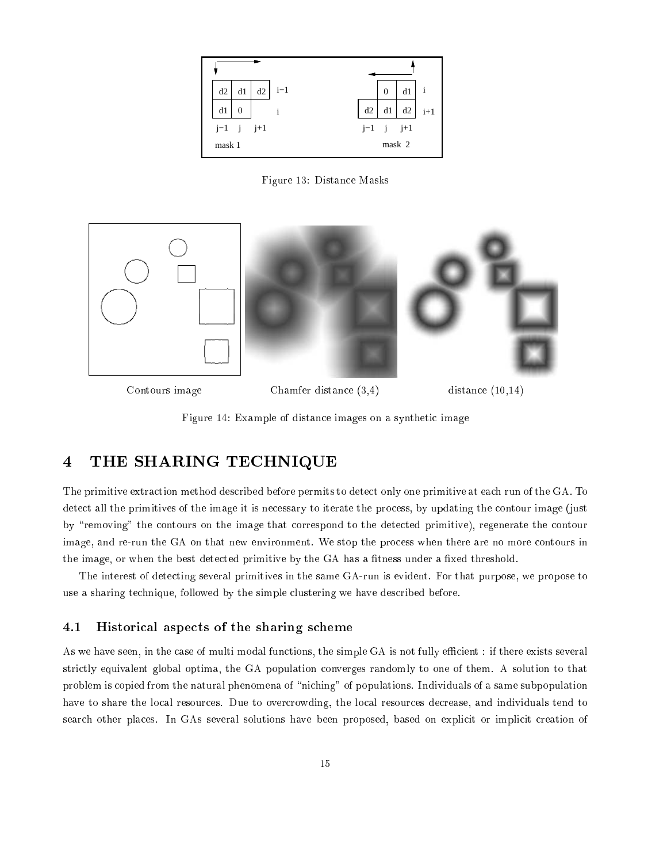

Figure 13: Distance Masks



Contours image Chamfer distance  $(3,4)$  distance  $(10,14)$ 

Figure 14: Example of distance images on a synthetic image

# 4 THE SHARING TECHNIQUE

The primitive extraction method described before permits to detect only one primitive at each run of the GA. To detect all the primitives of the image it is necessary to iterate the process, by updating the contour image (just by "removing" the contours on the image that correspond to the detected primitive), regenerate the contour image, and re-run the GA on that new environment. We stop the process when there are no more contours in the image, or when the best detected primitive by the GA has a fitness under a fixed threshold.

The interest of detecting several primitives in the same GA-run is evident. For that purpose, we propose to use a sharing technique, followed by the simple clustering we have described before.

### 4.1 Historical aspects of the sharing scheme

As we have seen, in the case of multi modal functions, the simple GA is not fully efficient : if there exists several strictly equivalent global optima, the GA population converges randomly to one of them. A solution to that problem is copied from the natural phenomena of "niching" of populations. Individuals of a same subpopulation have to share the local resources. Due to overcrowding, the local resources decrease, and individuals tend to search other places. In GAs several solutions have been proposed, based on explicit or implicit creation of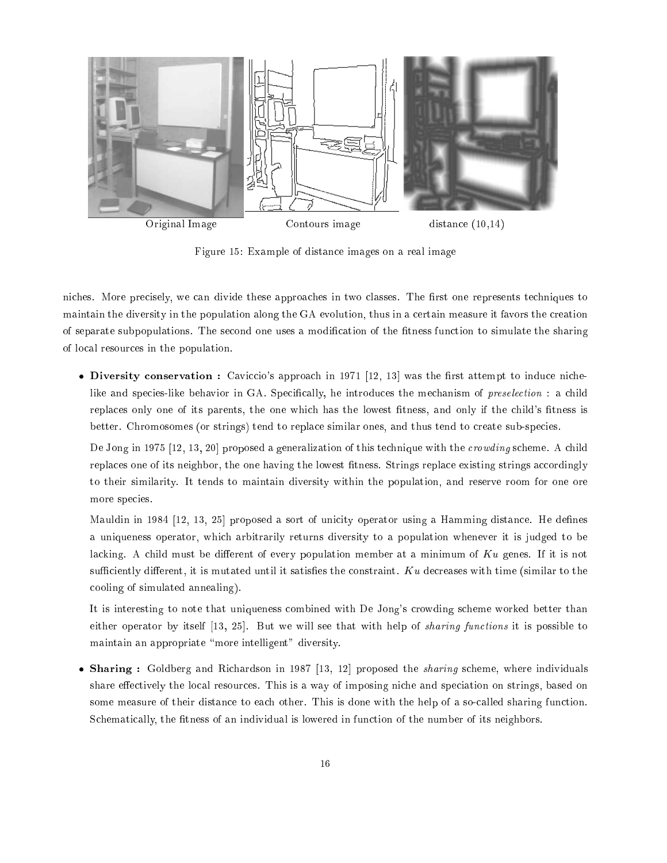

Figure 15: Example of distance images on a real image

niches. More precisely, we can divide these approaches in two classes. The first one represents techniques to maintain the diversity in the population along the GA evolution, thus in a certain measure it favors the creation of separate subpopulations. The second one uses a modification of the fitness function to simulate the sharing of local resources in the population.

• Diversity conservation : Caviccio's approach in 1971 [12, 13] was the first attempt to induce nichelike and species-like behavior in GA. Specifically, he introduces the mechanism of *preselection* : a child replaces only one of its parents, the one which has the lowest fitness, and only if the child's fitness is better. Chromosomes (or strings) tend to replace similar ones, and thus tend to create sub-species.

De Jong in 1975 [12, 13, 20] proposed a generalization of this technique with the crowding scheme. A child replaces one of its neighbor, the one having the lowest fitness. Strings replace existing strings accordingly to their similarity. It tends to maintain diversity within the population, and reserve room for one ore more species.

Mauldin in 1984 [12, 13, 25] proposed a sort of unicity operator using a Hamming distance. He defines a uniqueness operator, which arbitrarily returns diversity to a population whenever it is judged to be lacking. A child must be different of every population member at a minimum of  $K\mathfrak{u}$  genes. If it is not sufficiently different, it is mutated until it satisfies the constraint.  $K\mathfrak{u}$  decreases with time (similar to the cooling of simulated annealing).

It is interesting to note that uniqueness combined with De Jong's crowding scheme worked better than either operator by itself [13, 25]. But we will see that with help of sharing functions it is possible to maintain an appropriate "more intelligent" diversity.

• Sharing : Goldberg and Richardson in 1987 [13, 12] proposed the *sharing* scheme, where individuals share effectively the local resources. This is a way of imposing niche and speciation on strings, based on some measure of their distance to each other. This is done with the help of a so-called sharing function. Schematically, the fitness of an individual is lowered in function of the number of its neighbors.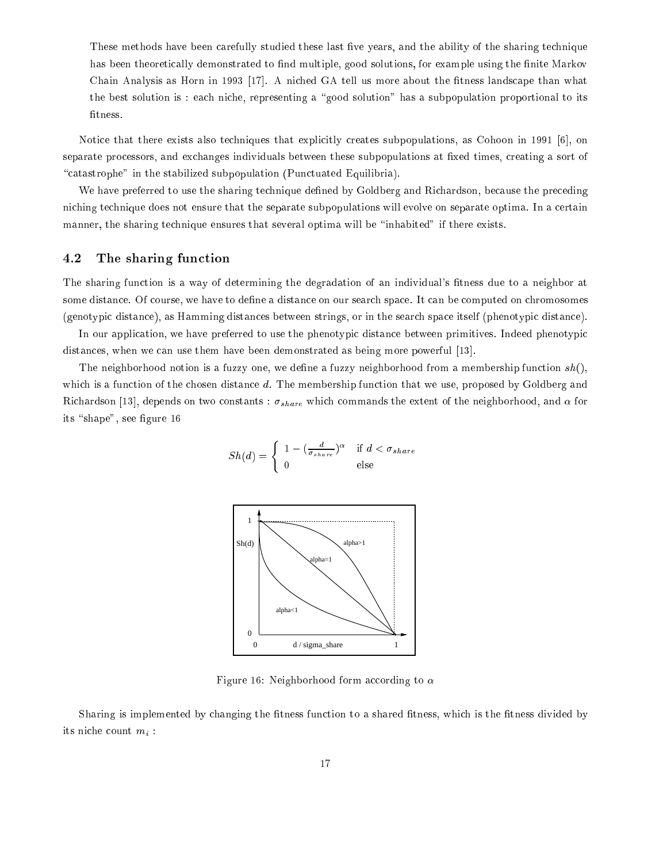These methods have been carefully studied these last five years, and the ability of the sharing technique has been theoretically demonstrated to find multiple, good solutions, for example using the finite Markov Chain Analysis as Horn in 1993 [17]. A niched GA tell us more about the fitness landscape than what the best solution is : each niche, representing a \good solution" has a subpopulation proportional to its fit ness.

Notice that there exists also techniques that explicitly creates subpopulations, as Cohoon in 1991 [6], on separate processors, and exchanges individuals between these subpopulations at fixed times, creating a sort of "catastrophe" in the stabilized subpopulation (Punctuated Equilibria).

We have preferred to use the sharing technique defined by Goldberg and Richardson, because the preceding niching technique does not ensure that the separate subpopulations will evolve on separate optima. In a certain manner, the sharing technique ensures that several optima will be "inhabited" if there exists.

### 4.2 The sharing function

The sharing function is a way of determining the degradation of an individual's fitness due to a neighbor at some distance. Of course, we have to define a distance on our search space. It can be computed on chromosomes (genotypic distance), as Hamming distances between strings, or in the search space itself (phenotypic distance).

In our application, we have preferred to use the phenotypic distance between primitives. Indeed phenotypic distances, when we can use them have been demonstrated as being more powerful [13].

The neighborhood notion is a fuzzy one, we define a fuzzy neighborhood from a membership function  $sh()$ , which is a function of the chosen distance d. The membership function that we use, proposed by Goldberg and Richardson [13], depends on two constants :  $\sigma_{share}$  which commands the extent of the neighborhood, and  $\alpha$  for its "shape", see figure 16

$$
Sh(d) = \begin{cases} 1 - (\frac{d}{\sigma_{share}})^{\alpha} & \text{if } d < \sigma_{share} \\ 0 & \text{else} \end{cases}
$$



Figure 16: Neighborhood form according to  $\alpha$ 

Sharing is implemented by changing the fitness function to a shared fitness, which is the fitness divided by its niche count  $m_i$ :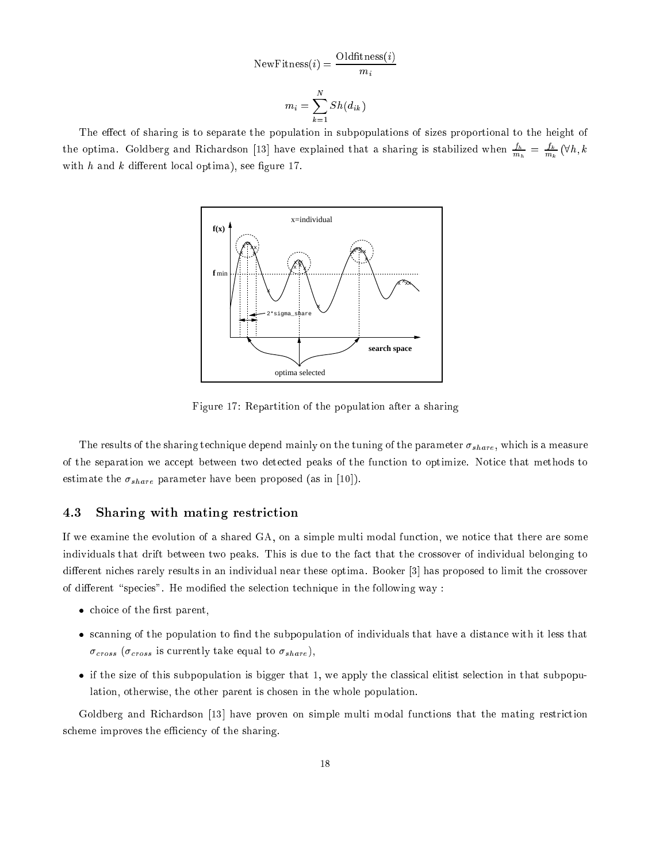NewFitness(i) = 
$$
\frac{\text{Oldfitness}(i)}{m_i}
$$

$$
m_i = \sum_{k=1}^{N} Sh(d_{ik})
$$

The effect of sharing is to separate the population in subpopulations of sizes proportional to the height of the optima. Goldberg and Richardson [13] have explained that a sharing is stabilized when  $\frac{m_h}{m_h}=\frac{2\pi}{m_k}\ (\forall h,k)$ with  $h$  and  $k$  different local optima), see figure 17.



Figure 17: Repartition of the population after a sharing

The results of the sharing technique depend mainly on the tuning of the parameter  $\sigma_{share}$ , which is a measure of the separation we accept between two detected peaks of the function to optimize. Notice that methods to estimate the  $\sigma_{share}$  parameter have been proposed (as in [10]).

### 4.3 Sharing with mating restriction

If we examine the evolution of a shared GA, on a simple multi modal function, we notice that there are some individuals that drift between two peaks. This is due to the fact that the crossover of individual belonging to different niches rarely results in an individual near these optima. Booker [3] has proposed to limit the crossover of different "species". He modified the selection technique in the following way :

- choice of the first parent,
- scanning of the population to find the subpopulation of individuals that have a distance with it less that  $\sigma_{cross}$  ( $\sigma_{cross}$  is currently take equal to  $\sigma_{share}$ ),
- if the size of this subpopulation is bigger that 1, we apply the classical elitist selection in that subpopulation, otherwise, the other parent is chosen in the whole population.

Goldberg and Richardson [13] have proven on simple multi modal functions that the mating restriction scheme improves the efficiency of the sharing.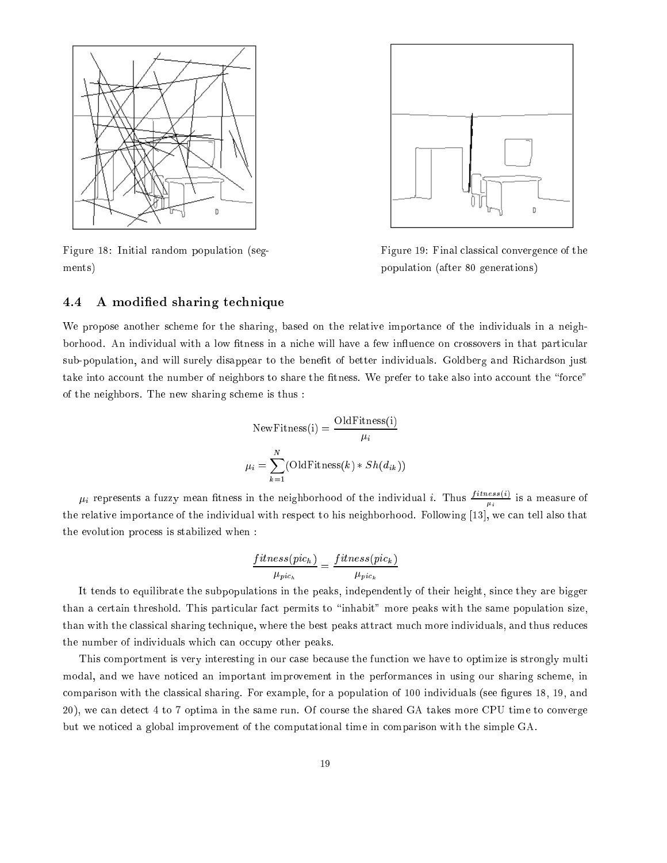

Figure 18: Initial random population (segments)



Figure 19: Final classical convergence of the population (after 80 generations)

### 4.4 A modied sharing technique

We propose another scheme for the sharing, based on the relative importance of the individuals in a neighborhood. An individual with a low fitness in a niche will have a few influence on crossovers in that particular sub-population, and will surely disappear to the benefit of better individuals. Goldberg and Richardson just take into account the number of neighbors to share the fitness. We prefer to take also into account the "force" of the neighbors. The new sharing scheme is thus :

NewFitness(i) = 
$$
\frac{\text{OldFitness}(i)}{\mu_i}
$$

$$
\mu_i = \sum_{k=1}^{N} (\text{OldFitness}(k) * Sh(d_{ik}))
$$

 $\mu_i$  represents a fuzzy mean fitness in the neighborhood of the individual i. Thus  $\frac{1}{\sigma_i}$  $\mu_i$  is a measurement of the relative importance of the individual with respect to his neighborhood. Following [13], we can tell also that the evolution process is stabilized when :

 $\cdot$   $\cdot$ 

$$
\frac{fitness(pic_h)}{\mu_{pic_h}} = \frac{fitness(pic_k)}{\mu_{pic_k}}
$$

It tends to equilibrate the subpopulations in the peaks, independently of their height, since they are bigger than a certain threshold. This particular fact permits to \inhabit" more peaks with the same population size, than with the classical sharing technique, where the best peaks attract much more individuals, and thus reduces the number of individuals which can occupy other peaks.

This comportment is very interesting in our case because the function we have to optimize is strongly multi modal, and we have noticed an important improvement in the performances in using our sharing scheme, in comparison with the classical sharing. For example, for a population of 100 individuals (see figures 18, 19, and 20), we can detect 4 to 7 optima in the same run. Of course the shared GA takes more CPU time to converge but we noticed a global improvement of the computational time in comparison with the simple GA.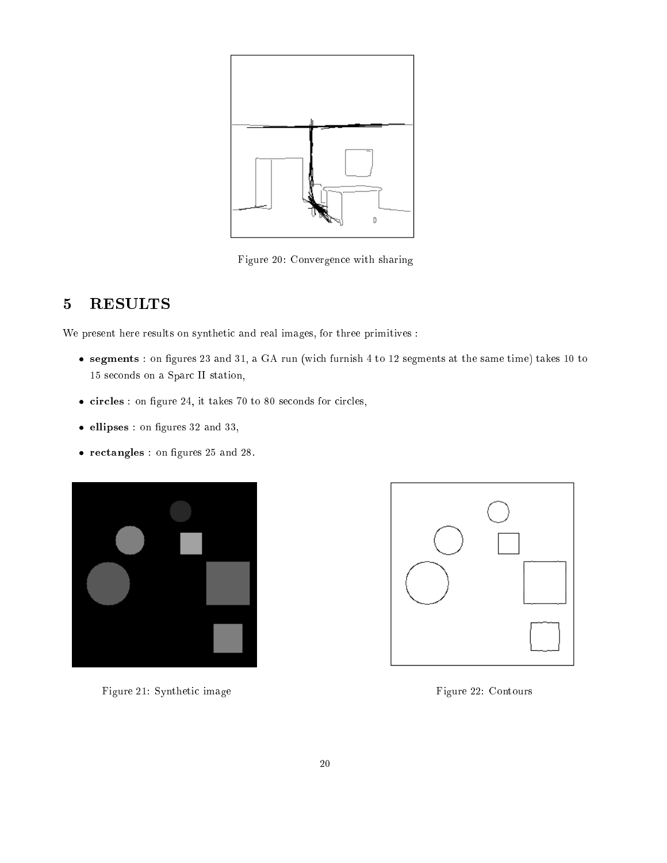

Figure 20: Convergence with sharing

# 5 RESULTS

We present here results on synthetic and real images, for three primitives :

- segments : on gures 23 and 31, a GA run (wich furnish 4 to 12 segments at the same time) takes 10 to 15 seconds on a Sparc II station,
- $\bullet$  circles : on figure 24, it takes 70 to 80 seconds for circles,
- ellipses: on figures 32 and 33,
- rectangles : on figures 25 and 28.



Figure 21: Synthetic image Figure 22: Contours

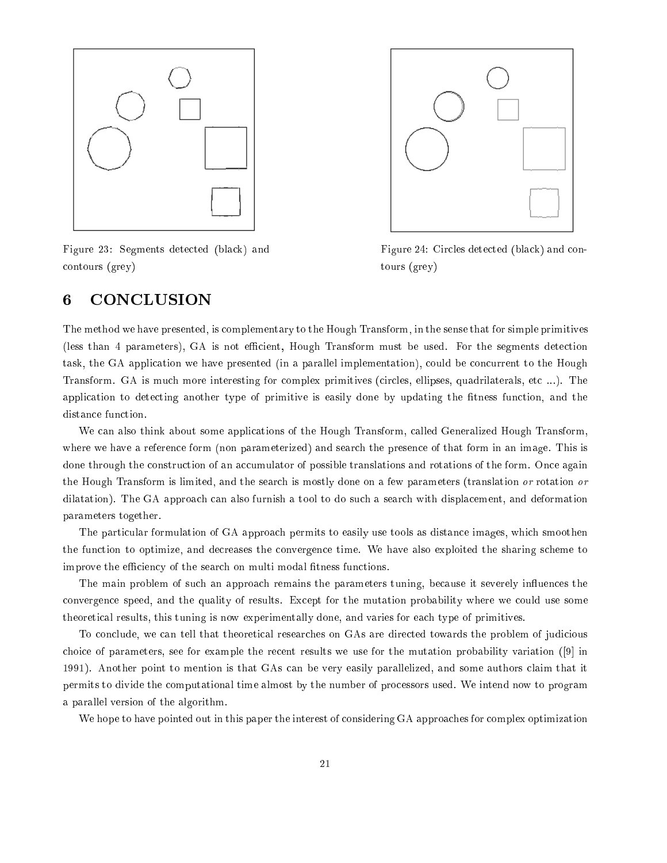

Figure 23: Segments detected (black) and contours (grey)



Figure 24: Circles detected (black) and contours (grey)

## 6 CONCLUSION

The method we have presented, is complementary to the Hough Transform, in the sense that for simple primitives (less than 4 parameters), GA is not efficient, Hough Transform must be used. For the segments detection task, the GA application we have presented (in a parallel implementation), could be concurrent to the Hough Transform. GA is much more interesting for complex primitives (circles, ellipses, quadrilaterals, etc ...). The application to detecting another type of primitive is easily done by updating the fitness function, and the distance function.

We can also think about some applications of the Hough Transform, called Generalized Hough Transform, where we have a reference form (non parameterized) and search the presence of that form in an image. This is done through the construction of an accumulator of possible translations and rotations of the form. Once again the Hough Transform is limited, and the search is mostly done on a few parameters (translation or rotation or dilatation). The GA approach can also furnish a tool to do such a search with displacement, and deformation parameters together.

The particular formulation of GA approach permits to easily use tools as distance images, which smoothen the function to optimize, and decreases the convergence time. We have also exploited the sharing scheme to improve the efficiency of the search on multi modal fitness functions.

The main problem of such an approach remains the parameters tuning, because it severely influences the convergence speed, and the quality of results. Except for the mutation probability where we could use some theoretical results, this tuning is now experimentally done, and varies for each type of primitives.

To conclude, we can tell that theoretical researches on GAs are directed towards the problem of judicious choice of parameters, see for example the recent results we use for the mutation probability variation ([9] in 1991). Another point to mention is that GAs can be very easily parallelized, and some authors claim that it permits to divide the computational time almost by the number of processors used. We intend now to program a parallel version of the algorithm.

We hope to have pointed out in this paper the interest of considering GA approaches for complex optimization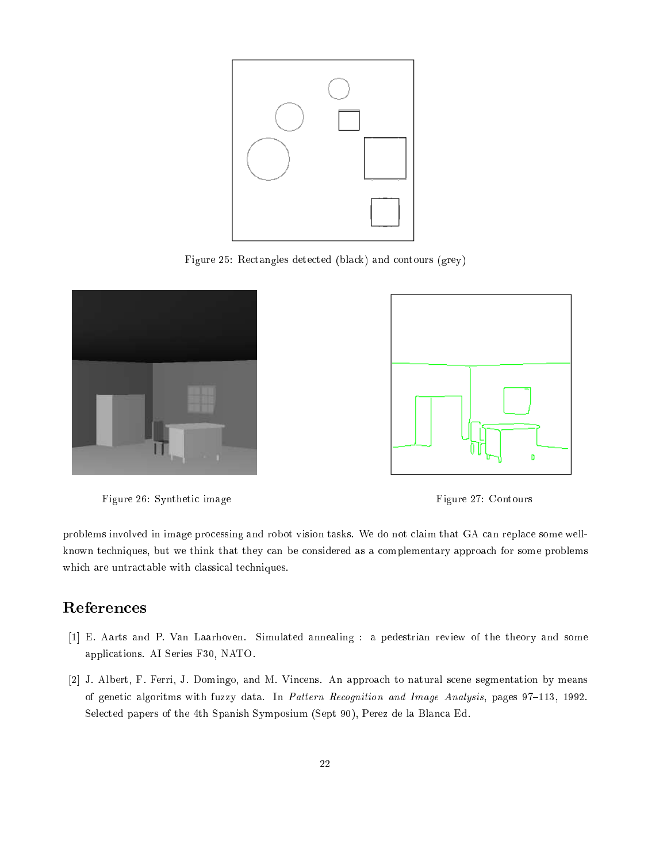

Figure 25: Rectangles detected (black) and contours (grey)



Figure 26: Synthetic image Figure 27: Contours



problems involved in image processing and robot vision tasks. We do not claim that GA can replace some wellknown techniques, but we think that they can be considered as a complementary approach for some problems which are untractable with classical techniques.

# References

- [1] E. Aarts and P. Van Laarhoven. Simulated annealing : a pedestrian review of the theory and some applications. AI Series F30, NATO.
- [2] J. Albert, F. Ferri, J. Domingo, and M. Vincens. An approach to natural scene segmentation by means of genetic algoritms with fuzzy data. In Pattern Recognition and Image Analysis, pages 97-113, 1992. Selected papers of the 4th Spanish Symposium (Sept 90), Perez de la Blanca Ed.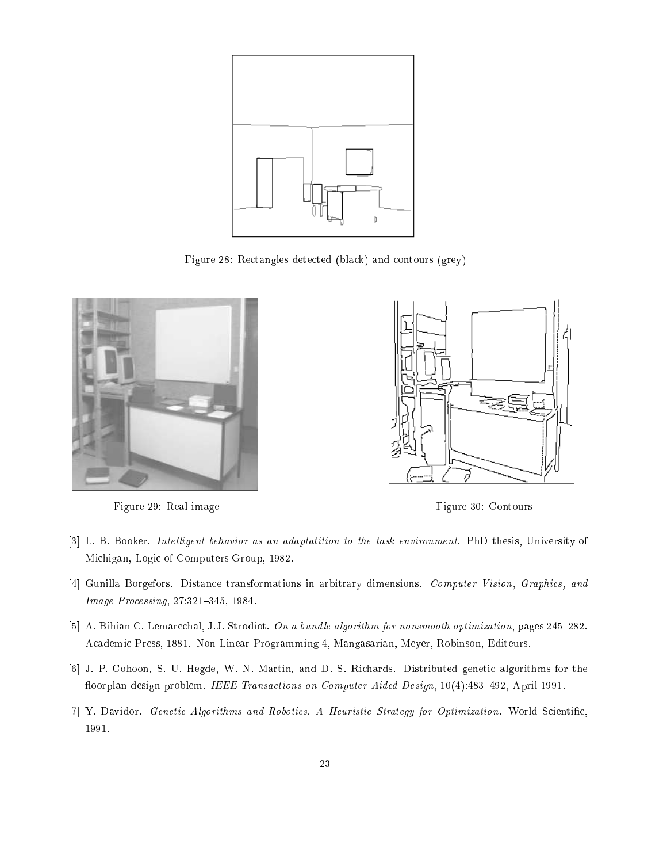

Figure 28: Rectangles detected (black) and contours (grey)



Figure 29: Real image **Figure 30: Contours** 



- [3] L. B. Booker. Intelligent behavior as an adaptatition to the task environment. PhD thesis, University of Michigan, Logic of Computers Group, 1982.
- [4] Gunilla Borgefors. Distance transformations in arbitrary dimensions. Computer Vision, Graphics, and Image Processing, 27:321-345, 1984.
- [5] A. Bihian C. Lemarechal, J.J. Strodiot. On a bundle algorithm for nonsmooth optimization, pages 245-282. Academic Press, 1881. Non-Linear Programming 4, Mangasarian, Meyer, Robinson, Editeurs.
- [6] J. P. Cohoon, S. U. Hegde, W. N. Martin, and D. S. Richards. Distributed genetic algorithms for the floorplan design problem. IEEE Transactions on Computer-Aided Design, 10(4):483-492, April 1991.
- [7] Y. Davidor. Genetic Algorithms and Robotics. A Heuristic Strategy for Optimization. World Scientic, 1991.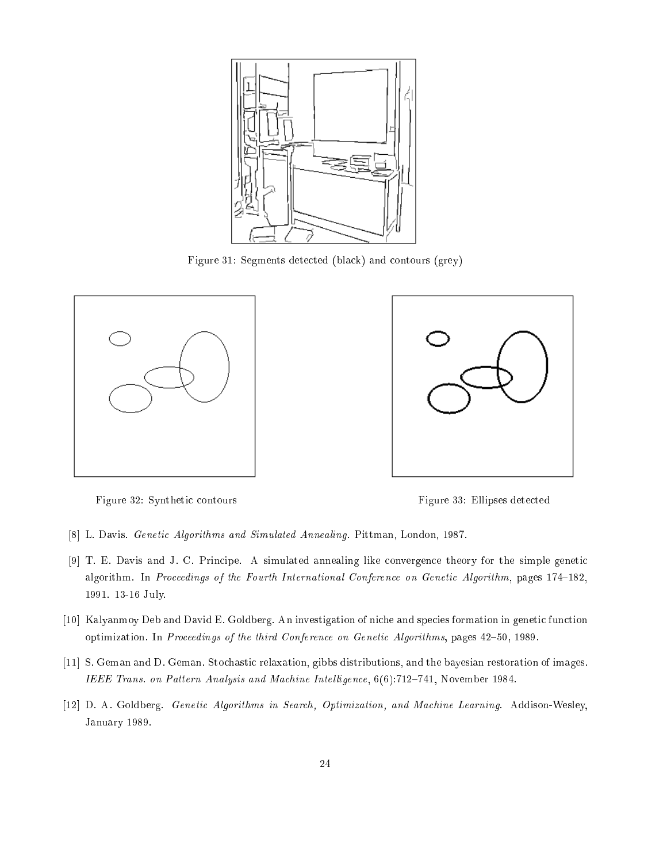

Figure 31: Segments detected (black) and contours (grey)





Figure 32: Synthetic contours Figure 33: Ellipses detected

- [8] L. Davis. Genetic Algorithms and Simulated Annealing. Pittman, London, 1987.
- [9] T. E. Davis and J. C. Principe. A simulated annealing like convergence theory for the simple genetic algorithm. In Proceedings of the Fourth International Conference on Genetic Algorithm, pages 174-182, 1991. 13-16 July.
- [10] Kalyanmoy Deb and David E. Goldberg. An investigation of niche and species formation in genetic function optimization. In Proceedings of the third Conference on Genetic Algorithms, pages 42-50, 1989.
- [11] S. Geman and D. Geman. Stochastic relaxation, gibbs distributions, and the bayesian restoration of images. IEEE Trans. on Pattern Analysis and Machine Intelligence,  $6(6)$ :712-741, November 1984.
- [12] D. A. Goldberg. Genetic Algorithms in Search, Optimization, and Machine Learning. Addison-Wesley, January 1989.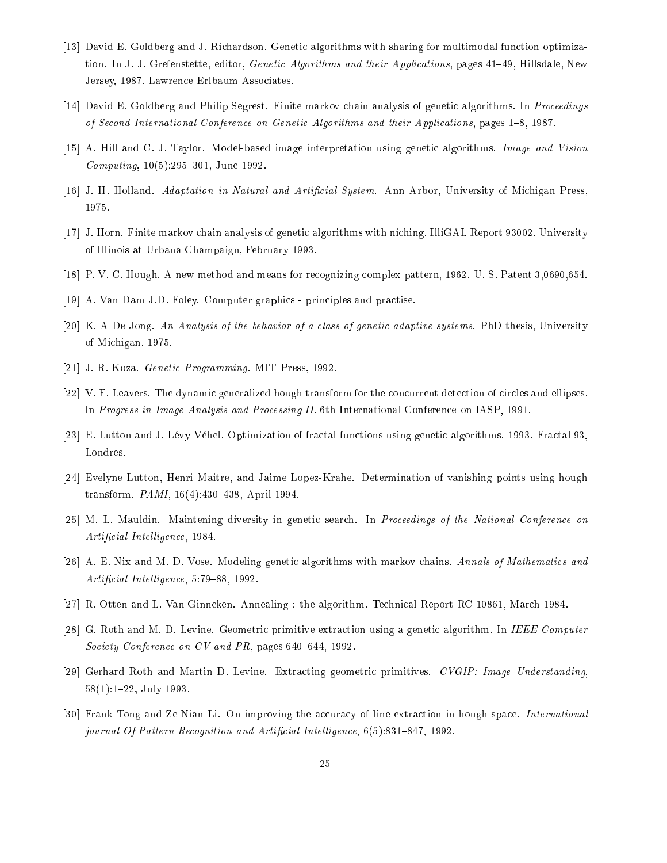- [13] David E. Goldberg and J. Richardson. Genetic algorithms with sharing for multimodal function optimization. In J. J. Grefenstette, editor, *Genetic Algorithms and their Applications*, pages 41-49, Hillsdale, New Jersey, 1987. Lawrence Erlbaum Associates.
- [14] David E. Goldberg and Philip Segrest. Finite markov chain analysis of genetic algorithms. In Proceedings of Second International Conference on Genetic Algorithms and their Applications, pages 1{8, 1987.
- [15] A. Hill and C. J. Taylor. Model-based image interpretation using genetic algorithms. Image and Vision  $Computing, 10(5):295-301, June 1992.$
- [16] J. H. Holland. Adaptation in Natural and Artificial System. Ann Arbor, University of Michigan Press, 1975.
- [17] J. Horn. Finite markov chain analysis of genetic algorithms with niching. IlliGAL Report 93002, University of Illinois at Urbana Champaign, February 1993.
- [18] P. V. C. Hough. A new method and means for recognizing complex pattern, 1962. U. S. Patent 3,0690,654.
- [19] A. Van Dam J.D. Foley. Computer graphics principles and practise.
- [20] K. A De Jong. An Analysis of the behavior of a class of genetic adaptive systems. PhD thesis, University of Michigan, 1975.
- [21] J. R. Koza. Genetic Programming. MIT Press, 1992.
- [22] V. F. Leavers. The dynamic generalized hough transform for the concurrent detection of circles and ellipses. In Progress in Image Analysis and Processing II. 6th International Conference on IASP, 1991.
- [23] E. Lutton and J. Lévy Véhel. Optimization of fractal functions using genetic algorithms. 1993. Fractal 93, Londres.
- [24] Evelyne Lutton, Henri Maitre, and Jaime Lopez-Krahe. Determination of vanishing points using hough transform.  $PAMI$ , 16(4): 430-438, April 1994.
- [25] M. L. Mauldin. Maintening diversity in genetic search. In Proceedings of the National Conference on Artificial Intelligence, 1984.
- [26] A. E. Nix and M. D. Vose. Modeling genetic algorithms with markov chains. Annals of Mathematics and Artificial Intelligence, 5:79-88, 1992.
- [27] R. Otten and L. Van Ginneken. Annealing : the algorithm. Technical Report RC 10861, March 1984.
- [28] G. Roth and M. D. Levine. Geometric primitive extraction using a genetic algorithm. In IEEE Computer Society Conference on  $CV$  and  $PR$ , pages 640-644, 1992.
- [29] Gerhard Roth and Martin D. Levine. Extracting geometric primitives. CVGIP: Image Understanding, 58(1):1-22, July 1993.
- [30] Frank Tong and Ze-Nian Li. On improving the accuracy of line extraction in hough space. International journal Of Pattern Recognition and Artificial Intelligence, 6(5):831-847, 1992.